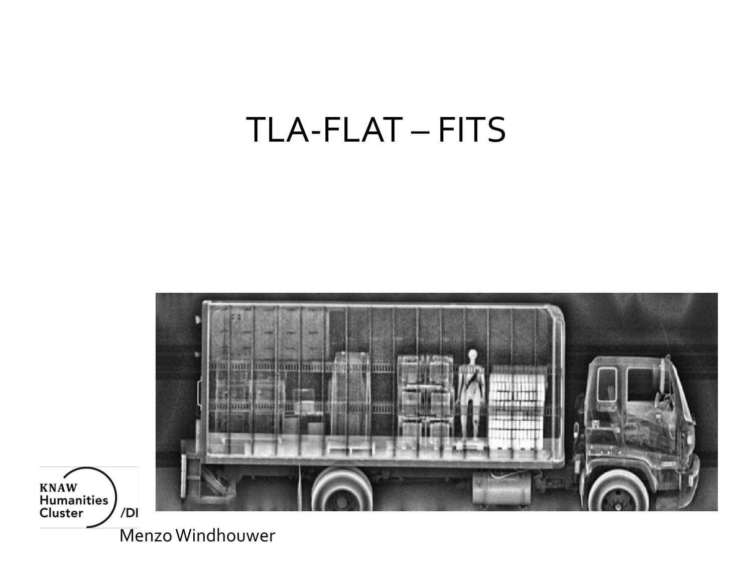#### TLA-FLAT – FITS



**KNAW** Humanities<br>Cluster

Menzo Windhouwer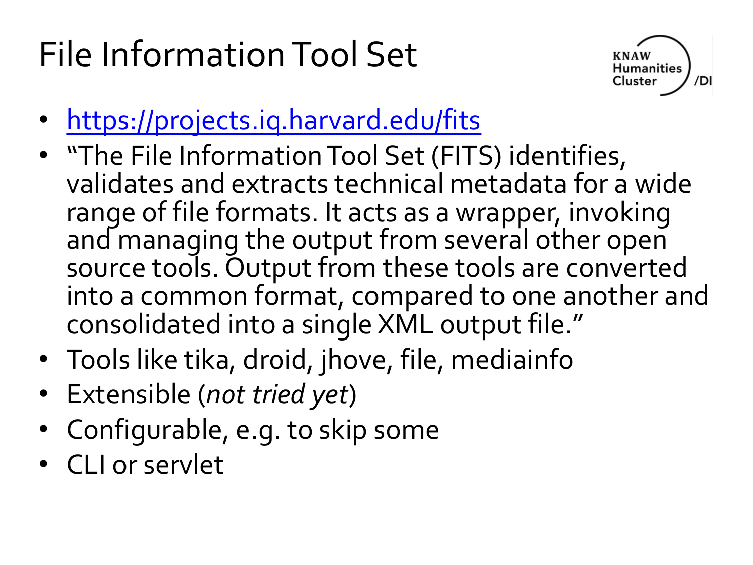# File Information Tool Set



- https://projects.iq.harvard.edu/fits
- "The File Information Tool Set (FITS) identifies, validates and extracts technical metadata for a range of file formats. It acts as a wrapper, invoki and managing the output from several other ope source tools. Output from these tools are conver into a common format, compared to one anothe consolidated into a single XML output file."
- Tools like tika, droid, jhove, file, mediainfo
- Extensible (*not tried yet*)
- Configurable, e.g. to skip some
- CLI or servlet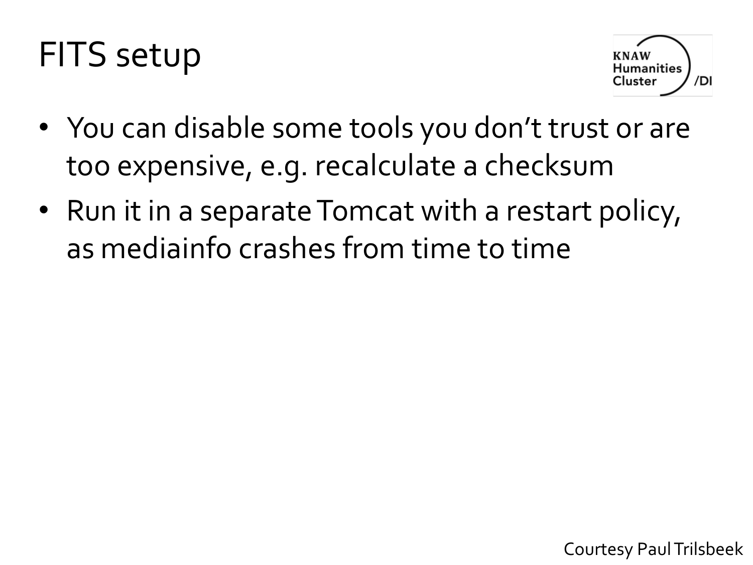#### FITS setup



- You can disable some tools you don't trust or are too expensive, e.g. recalculate a checksum
- Run it in a separate Tomcat with a restart policy, as mediainfo crashes from time to time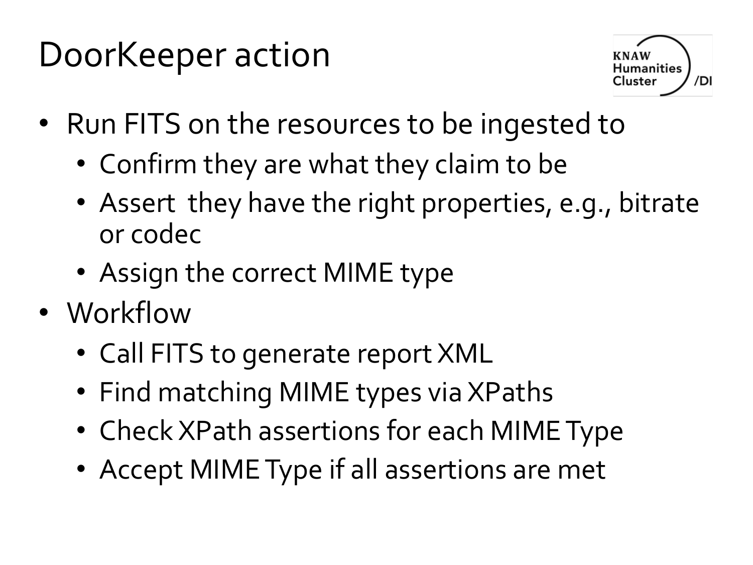## DoorKeeper action



- Run FITS on the resources to be ingested to
	- Confirm they are what they claim to be
	- Assert they have the right properties, e.g., bitrate or codec
	- Assign the correct MIME type
- Workflow
	- Call FITS to generate report XML
	- Find matching MIME types via XPaths
	- Check XPath assertions for each MIME Type
	- Accept MIME Type if all assertions are met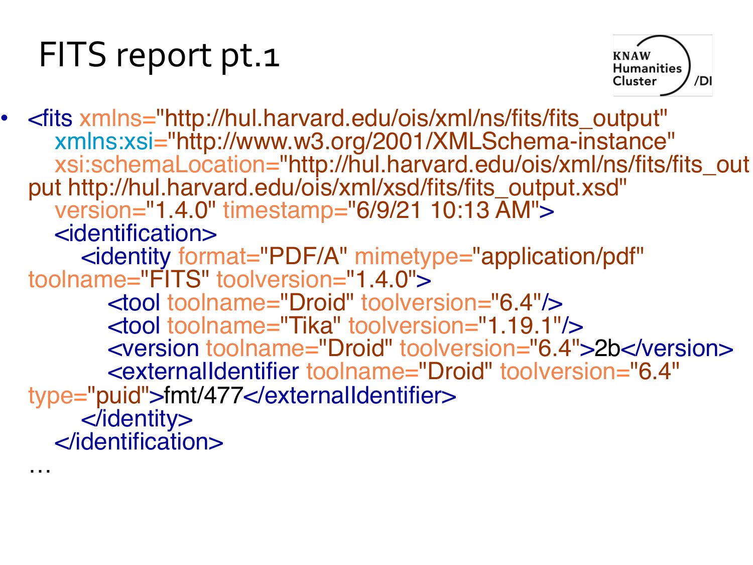## FITS report pt.1



• <fits xmlns="http://hul.harvard.edu/ois/xml/ns/fits/fits\_output" xmlns:xsi="http://www.w3.org/2001/XMLSchema-instance" xsi:schemaLocation="http://hul.harvard.edu/ois/xml/ns/fits/fits\_out put http://hul.harvard.edu/ois/xml/xsd/fits/fits\_output.xsd" version="1.4.0" timestamp="6/9/21 10:13 AM"> <identification> <identity format="PDF/A" mimetype="application/pdf" toolname="FITS" toolversion="1.4.0"> <tool toolname="Droid" toolversion="6.4"/> <tool toolname="Tika" toolversion="1.19.1"/> <version toolname="Droid" toolversion="6.4">2b</version> <externalIdentifier toolname="Droid" toolversion="6.4" type= "puid">fmt/477</externalIdentifier> </identity> </identification> …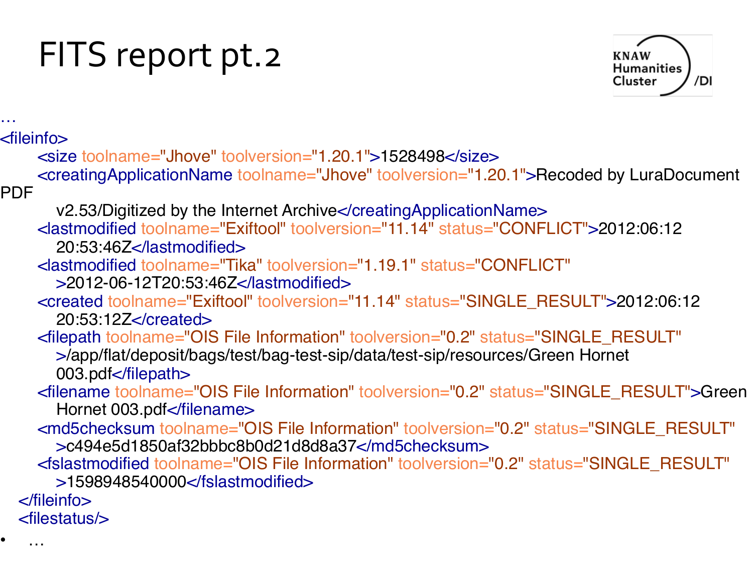# FITS report pt.2

• …



… <fileinfo> <size toolname= "Jhove" toolversion="1.20.1">1528498</size> <creatingApplicationName toolname= "Jhove" toolversion="1.20.1">Recoded by LuraDocument PDF v2.53/Digitized by the Internet Archive</creatingApplicationName> <lastmodified toolname= "Exiftool" toolversion="11.14" status="CONFLICT">2012:06:12 20:53:46Z</lastmodified> <lastmodified toolname="Tika" toolversion="1.19.1" status="CONFLICT" >2012-06-12T20:53:46Z</lastmodified> <created toolname= "Exiftool" toolversion="11.14" status="SINGLE\_RESULT">2012:06:12 20:53:12Z</created> <filepath toolname="OIS File Information" toolversion="0.2" status="SINGLE\_RESULT" >/app/flat/deposit/bags/test/bag-test-sip/data/test-sip/resources/Green Hornet 003.pdf</filepath> <filename toolname="OIS File Information" toolversion="0.2" status="SINGLE\_RESULT">Green Hornet 003.pdf</filename> <md5checksum toolname="OIS File Information" toolversion="0.2" status="SINGLE\_RESULT" >c494e5d1850af32bbbc8b0d21d8d8a37</md5checksum> <fslastmodified toolname="OIS File Information" toolversion="0.2" status="SINGLE\_RESULT" >1598948540000</fslastmodified> </fileinfo> <filestatus/>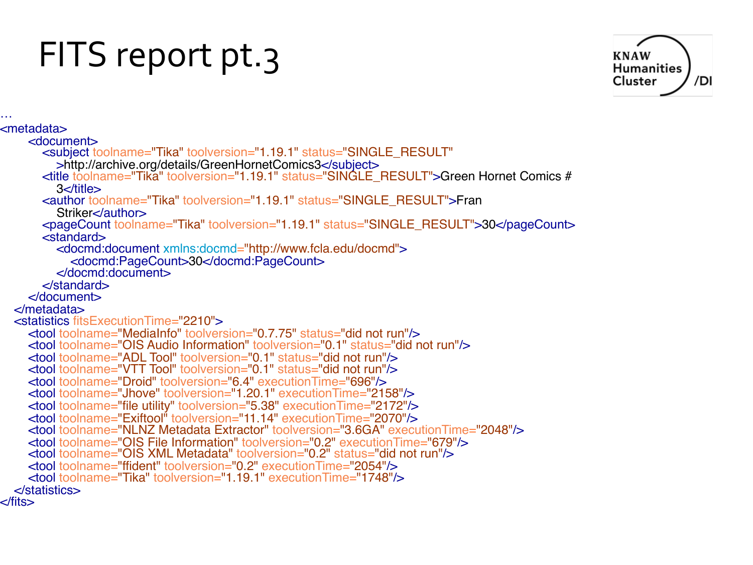### FITS report pt.3



… <metadata> <document> <subject toolname="Tika" toolversion="1.19.1" status="SINGLE\_RESULT" >http://archive.org/details/GreenHornetComics3</subject> <title toolname="Tika" toolversion="1.19.1" status="SINGLE\_RESULT">Green Hornet Comics # 3</title> <author toolname="Tika" toolversion="1.19.1" status="SINGLE\_RESULT">Fran Striker</author> <pageCount toolname="Tika" toolversion="1.19.1" status="SINGLE\_RESULT">30</pageCount> <standard> <docmd:document xmlns:docmd="http://www.fcla.edu/docmd"> <docmd:PageCount>30</docmd:PageCount> </docmd:document> </standard> </document> </metadata> <statistics fitsExecutionTime="2210"> <tool toolname="MediaInfo" toolversion="0.7.75" status="did not run"/> <tool toolname="OIS Audio Information" toolversion="0.1" status="did not run"/> <tool toolname="ADL Tool" toolversion="0.1" status="did not run"/> <tool toolname="VTT Tool" toolversion="0.1" status="did not run"/> <tool toolname="Droid" toolversion="6.4" executionTime="696"/> <tool toolname="Jhove" toolversion="1.20.1" executionTime="2158"/> <tool toolname="file utility" toolversion="5.38" executionTime="2172"/> <tool toolname="Exiftool" toolversion="11.14" executionTime="2070"/> <tool toolname="NLNZ Metadata Extractor" toolversion="3.6GA" executionTime="2048"/> <tool toolname="OIS File Information" toolversion="0.2" executionTime="679"/> <tool toolname="OIS XML Metadata" toolversion="0.2" status="did not run"/> <tool toolname="ffident" toolversion="0.2" executionTime="2054"/> <tool toolname="Tika" toolversion="1.19.1" executionTime="1748"/> </statistics> </fits>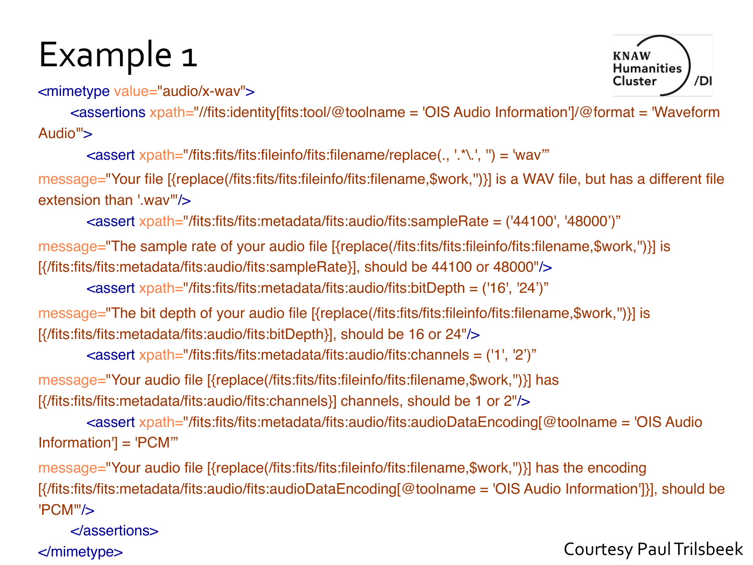#### Example 1

<mimetype value="audio/x-wav">

<assertions xpath="//fits:identity[fits:tool/@toolname = 'OIS Audio Information']/@format = 'Waveform Audio">

<assert xpath="/fits:fits/fits:fileinfo/fits:filename/replace(., '.\*\.', '') = 'wav'"

message="Your file [{replace(/fits:fits/fits:fileinfo/fits:filename,\$work,'')}] is a WAV file, but has a different file extension than '.wav"/>

<assert xpath="/fits:fits/fits:metadata/fits:audio/fits:sampleRate = ('44100', '48000')"

message="The sample rate of your audio file [{replace(/fits:fits/fits:fileinfo/fits:filename,\$work,'')}] is [{/fits:fits/fits:metadata/fits:audio/fits:sampleRate}], should be 44100 or 48000"/>

<assert xpath="/fits:fits/fits:metadata/fits:audio/fits:bitDepth = ('16', '24')"

```
message="The bit depth of your audio file [{replace(/fits:fits/fits:fileinfo/fits:filename,$work,'')}] is 
[{/fits:fits/fits:metadata/fits:audio/fits:bitDepth}], should be 16 or 24"/>
```
<assert xpath="/fits:fits/fits:metadata/fits:audio/fits:channels = ('1', '2')"

message="Your audio file [{replace(/fits:fits/fits:fileinfo/fits:filename,\$work,'')}] has [{/fits:fits/fits:metadata/fits:audio/fits:channels}] channels, should be 1 or 2"/>

<assert xpath="/fits:fits/fits:metadata/fits:audio/fits:audioDataEncoding[@toolname = 'OIS Audio Information'] = 'PCM'"

message="Your audio file [{replace(/fits:fits/fits:fileinfo/fits:filename,\$work,'')}] has the encoding [{/fits:fits/fits:metadata/fits:audio/fits:audioDataEncoding[@toolname = 'OIS Audio Information']}], should be 'PCM'"/>

</assertions>

</mimetype> Courtesy Paul Trilsbeek

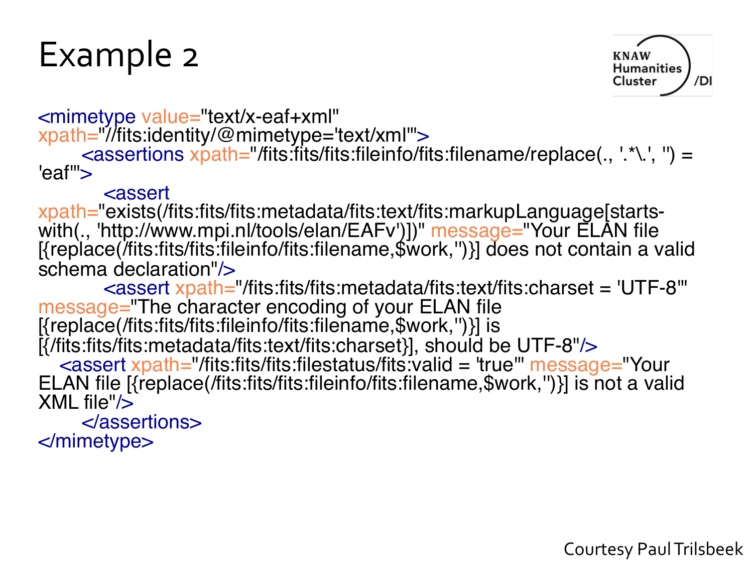#### Example 2



<mimetype value="text/x-eaf+xml" xpath="//fits:identity/@mimetype='text/xml'">

<assertions xpath="/fits:fits/fits:fileinfo/fits:filename/replace(., '.\*\.', '') = 'eaf'">

<assert<br>xpath="exists(/fits:fits/fits:metadata/fits:text/fits:markupLanguage[startswith(., 'http://www.mpi.nl/tools/elan/EAFv')])" message="Your ELAN file [{replace(/fits:fits/fits:fileinfo/fits:filename,\$work,'')}] does not contain a valid schema declaration"/>

<assert xpath="/fits:fits/fits:metadata/fits:text/fits:charset = 'UTF-8"<br>message="The character encoding of your ELAN file  $[$ {replace(/fits:fits/fits:fileinfo/fits:filename,\$work,")}] is [{/fits:fits/fits:metadata/fits:text/fits:charset}], should be UTF-8"/> <assert xpath="/fits:fits/fits:filestatus/fits:valid = 'true'" message="Your ELAN file [{replace(/fits:fits/fits:fileinfo/fits:filename,\$work,'')}] is not a valid XML file"/>

</assertions> </mimetype>

Courtesy Paul Trilsbeek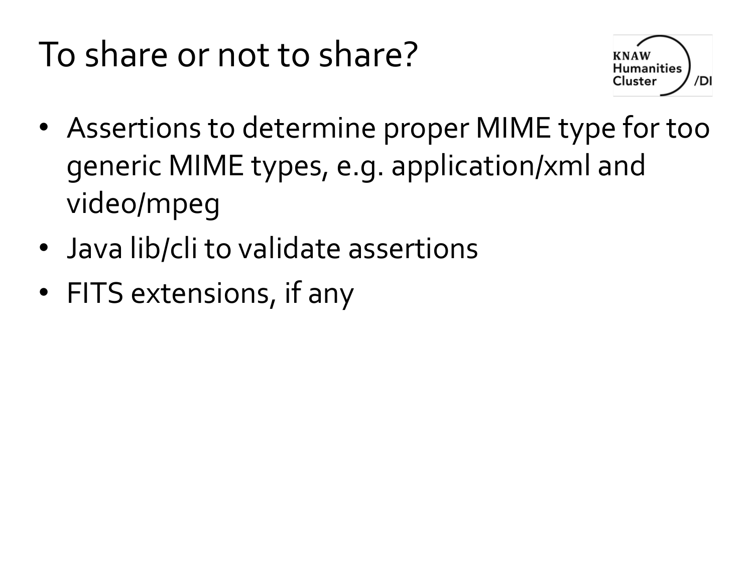# To share or not to share?



- Assertions to determine proper MIME type for too generic MIME types, e.g. application/xml and video/mpeg
- Java lib/cli to validate assertions
- FITS extensions, if any